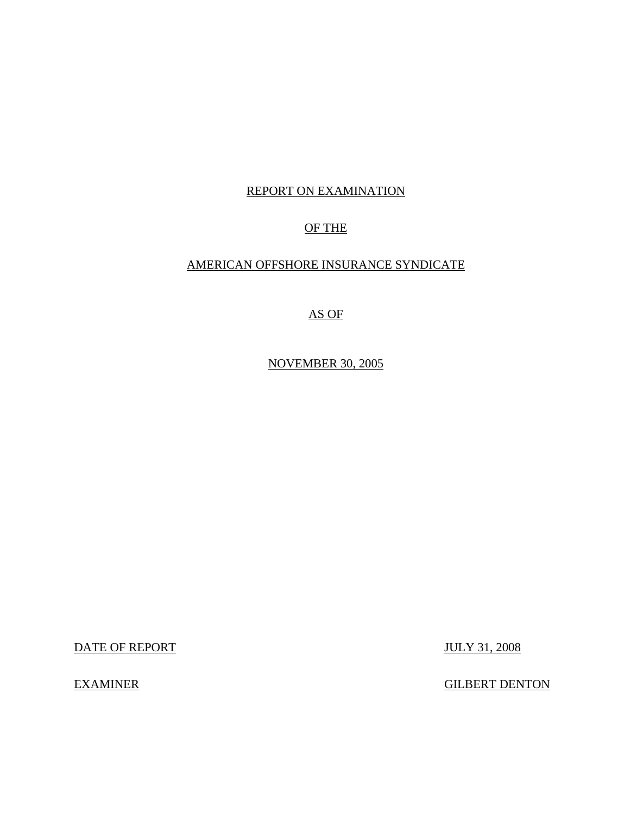## REPORT ON EXAMINATION

## OF THE

## AMERICAN OFFSHORE INSURANCE SYNDICATE

## AS OF

NOVEMBER 30, 2005

DATE OF REPORT JULY 31, 2008

**EXAMINER** 

**GILBERT DENTON**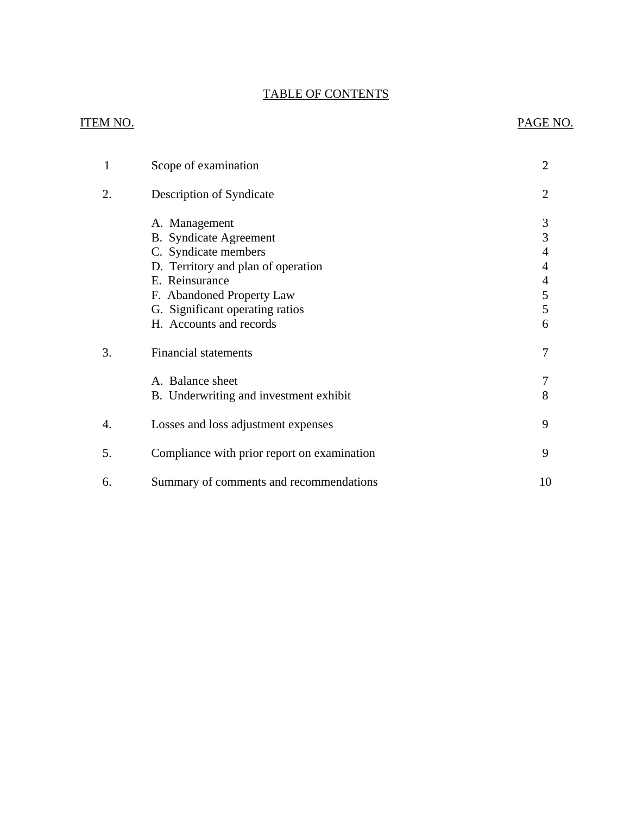## TABLE OF CONTENTS

## **ITEM NO.**

## PAGE NO.

| 1  | Scope of examination                                       | 2      |
|----|------------------------------------------------------------|--------|
| 2. | Description of Syndicate                                   | 2      |
|    | A. Management                                              | 3      |
|    | <b>B.</b> Syndicate Agreement                              | 3      |
|    | C. Syndicate members<br>D. Territory and plan of operation | 4<br>4 |
|    | E. Reinsurance                                             | 4      |
|    | F. Abandoned Property Law                                  | 5      |
|    | G. Significant operating ratios                            | 5      |
|    | H. Accounts and records                                    | 6      |
| 3. | <b>Financial statements</b>                                | 7      |
|    | A. Balance sheet                                           |        |
|    | B. Underwriting and investment exhibit                     | 8      |
| 4. | Losses and loss adjustment expenses                        | 9      |
| 5. | Compliance with prior report on examination                | 9      |
| 6. | Summary of comments and recommendations                    | 10     |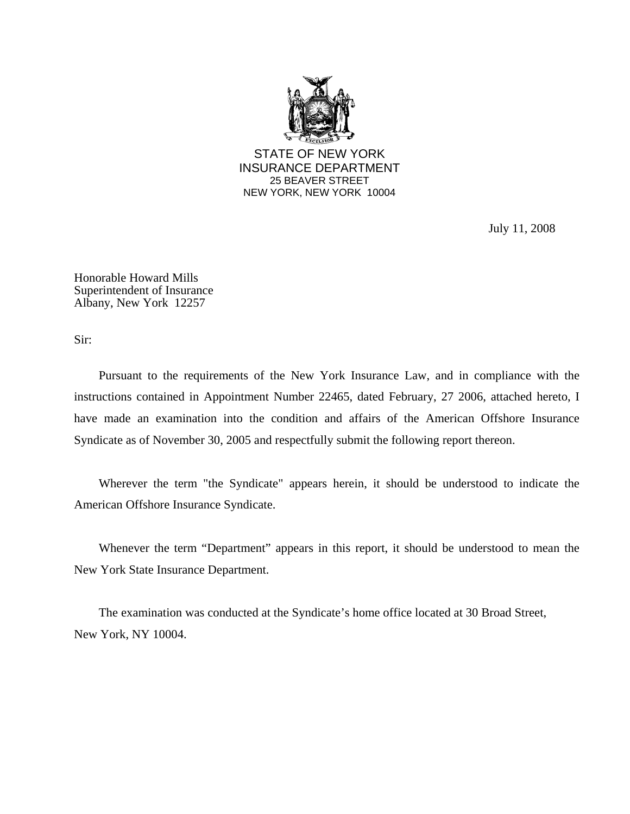

July 11, 2008

Honorable Howard Mills Superintendent of Insurance Albany, New York 12257

Sir:

Pursuant to the requirements of the New York Insurance Law, and in compliance with the instructions contained in Appointment Number 22465, dated February, 27 2006, attached hereto, I have made an examination into the condition and affairs of the American Offshore Insurance Syndicate as of November 30, 2005 and respectfully submit the following report thereon.

Wherever the term "the Syndicate" appears herein, it should be understood to indicate the American Offshore Insurance Syndicate.

Whenever the term "Department" appears in this report, it should be understood to mean the New York State Insurance Department.

The examination was conducted at the Syndicate's home office located at 30 Broad Street, New York, NY 10004.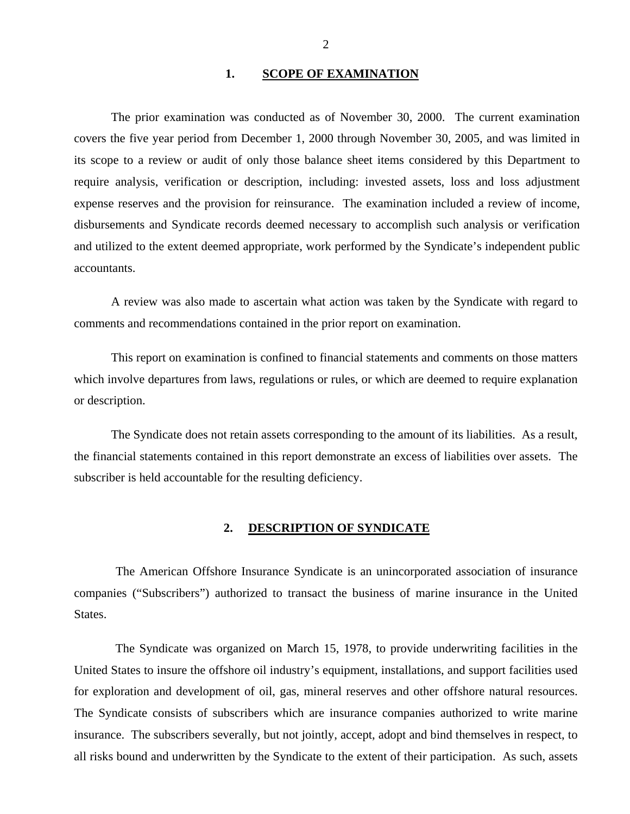## **1. SCOPE OF EXAMINATION**

<span id="page-3-0"></span>The prior examination was conducted as of November 30, 2000. The current examination covers the five year period from December 1, 2000 through November 30, 2005, and was limited in its scope to a review or audit of only those balance sheet items considered by this Department to require analysis, verification or description, including: invested assets, loss and loss adjustment expense reserves and the provision for reinsurance. The examination included a review of income, disbursements and Syndicate records deemed necessary to accomplish such analysis or verification and utilized to the extent deemed appropriate, work performed by the Syndicate's independent public accountants.

A review was also made to ascertain what action was taken by the Syndicate with regard to comments and recommendations contained in the prior report on examination.

This report on examination is confined to financial statements and comments on those matters which involve departures from laws, regulations or rules, or which are deemed to require explanation or description.

The Syndicate does not retain assets corresponding to the amount of its liabilities. As a result, the financial statements contained in this report demonstrate an excess of liabilities over assets. The subscriber is held accountable for the resulting deficiency.

#### **2. DESCRIPTION OF SYNDICATE**

The American Offshore Insurance Syndicate is an unincorporated association of insurance companies ("Subscribers") authorized to transact the business of marine insurance in the United States.

The Syndicate was organized on March 15, 1978, to provide underwriting facilities in the United States to insure the offshore oil industry's equipment, installations, and support facilities used for exploration and development of oil, gas, mineral reserves and other offshore natural resources. The Syndicate consists of subscribers which are insurance companies authorized to write marine insurance. The subscribers severally, but not jointly, accept, adopt and bind themselves in respect, to all risks bound and underwritten by the Syndicate to the extent of their participation. As such, assets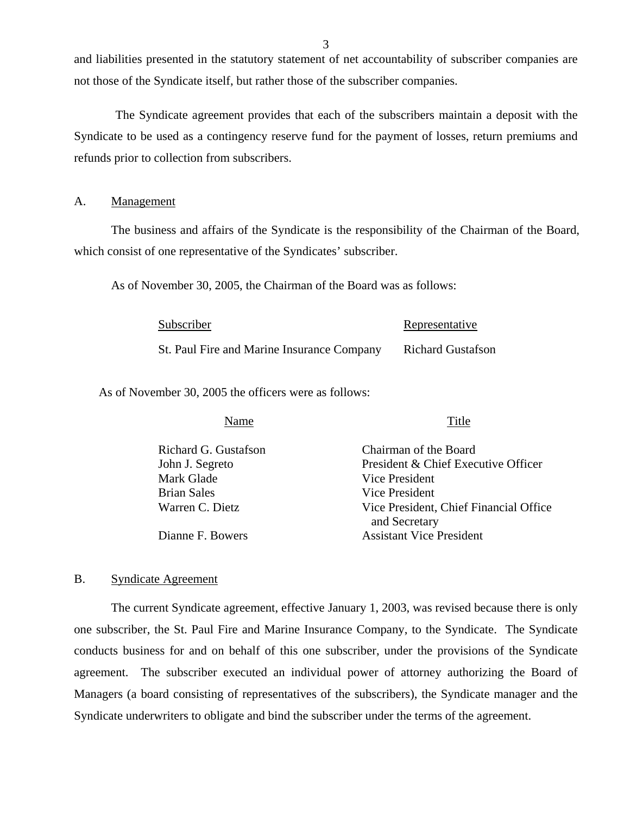and liabilities presented in the statutory statement of net accountability of subscriber companies are not those of the Syndicate itself, but rather those of the subscriber companies.

The Syndicate agreement provides that each of the subscribers maintain a deposit with the Syndicate to be used as a contingency reserve fund for the payment of losses, return premiums and refunds prior to collection from subscribers.

#### A. Management

The business and affairs of the Syndicate is the responsibility of the Chairman of the Board, which consist of one representative of the Syndicates' subscriber.

As of November 30, 2005, the Chairman of the Board was as follows:

| Subscriber                                 | Representative           |
|--------------------------------------------|--------------------------|
| St. Paul Fire and Marine Insurance Company | <b>Richard Gustafson</b> |

As of November 30, 2005 the officers were as follows:

Name Title

| Chairman of the Board                  |
|----------------------------------------|
| President & Chief Executive Officer    |
| Vice President                         |
| Vice President                         |
| Vice President, Chief Financial Office |
| and Secretary                          |
| <b>Assistant Vice President</b>        |
|                                        |

## B. Syndicate Agreement

The current Syndicate agreement, effective January 1, 2003, was revised because there is only one subscriber, the St. Paul Fire and Marine Insurance Company, to the Syndicate. The Syndicate conducts business for and on behalf of this one subscriber, under the provisions of the Syndicate agreement. The subscriber executed an individual power of attorney authorizing the Board of Managers (a board consisting of representatives of the subscribers), the Syndicate manager and the Syndicate underwriters to obligate and bind the subscriber under the terms of the agreement.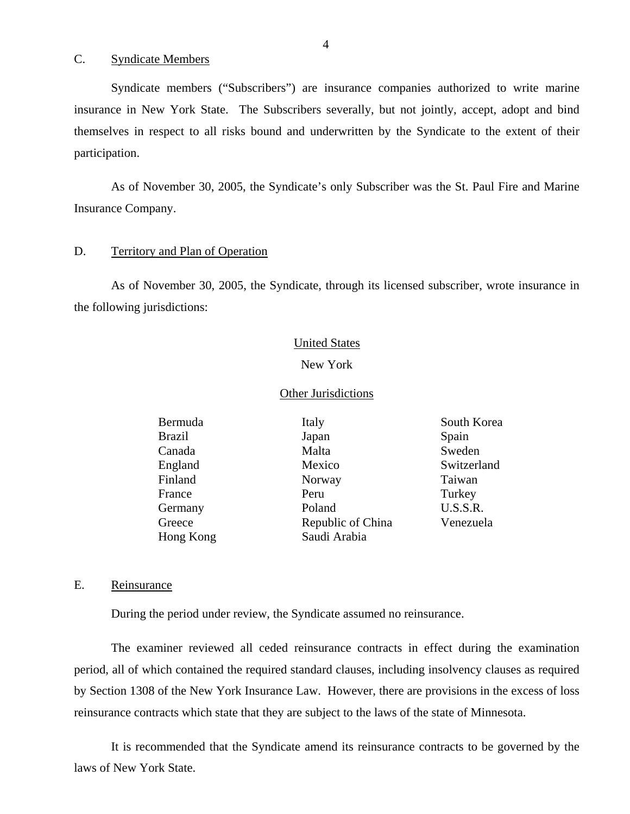C. Syndicate Members

Syndicate members ("Subscribers") are insurance companies authorized to write marine insurance in New York State. The Subscribers severally, but not jointly, accept, adopt and bind themselves in respect to all risks bound and underwritten by the Syndicate to the extent of their participation.

As of November 30, 2005, the Syndicate's only Subscriber was the St. Paul Fire and Marine Insurance Company.

#### D. Territory and Plan of Operation

As of November 30, 2005, the Syndicate, through its licensed subscriber, wrote insurance in the following jurisdictions:

#### United States

#### New York

#### Other Jurisdictions

| Italy             | South Korea |
|-------------------|-------------|
| Japan             | Spain       |
| Malta             | Sweden      |
| Mexico            | Switzerland |
| Norway            | Taiwan      |
| Peru              | Turkey      |
| Poland            | U.S.S.R.    |
| Republic of China | Venezuela   |
| Saudi Arabia      |             |
|                   |             |

#### E. Reinsurance

During the period under review, the Syndicate assumed no reinsurance.

The examiner reviewed all ceded reinsurance contracts in effect during the examination period, all of which contained the required standard clauses, including insolvency clauses as required by Section 1308 of the New York Insurance Law. However, there are provisions in the excess of loss reinsurance contracts which state that they are subject to the laws of the state of Minnesota.

It is recommended that the Syndicate amend its reinsurance contracts to be governed by the laws of New York State.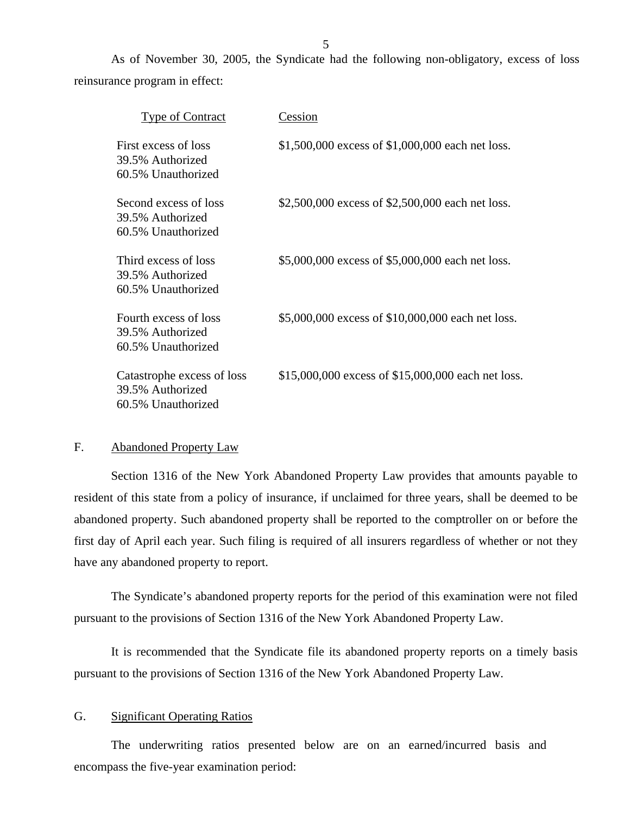<span id="page-6-0"></span>As of November 30, 2005, the Syndicate had the following non-obligatory, excess of loss reinsurance program in effect:

| <b>Type of Contract</b>                                              | Cession                                            |
|----------------------------------------------------------------------|----------------------------------------------------|
| First excess of loss<br>39.5% Authorized<br>60.5% Unauthorized       | \$1,500,000 excess of \$1,000,000 each net loss.   |
| Second excess of loss<br>39.5% Authorized<br>60.5% Unauthorized      | \$2,500,000 excess of \$2,500,000 each net loss.   |
| Third excess of loss<br>39.5% Authorized<br>60.5% Unauthorized       | \$5,000,000 excess of \$5,000,000 each net loss.   |
| Fourth excess of loss<br>39.5% Authorized<br>60.5% Unauthorized      | \$5,000,000 excess of \$10,000,000 each net loss.  |
| Catastrophe excess of loss<br>39.5% Authorized<br>60.5% Unauthorized | \$15,000,000 excess of \$15,000,000 each net loss. |

### F. Abandoned Property Law

Section 1316 of the New York Abandoned Property Law provides that amounts payable to resident of this state from a policy of insurance, if unclaimed for three years, shall be deemed to be abandoned property. Such abandoned property shall be reported to the comptroller on or before the first day of April each year. Such filing is required of all insurers regardless of whether or not they have any abandoned property to report.

The Syndicate's abandoned property reports for the period of this examination were not filed pursuant to the provisions of Section 1316 of the New York Abandoned Property Law.

It is recommended that the Syndicate file its abandoned property reports on a timely basis pursuant to the provisions of Section 1316 of the New York Abandoned Property Law.

#### G. Significant Operating Ratios

The underwriting ratios presented below are on an earned/incurred basis and encompass the five-year examination period: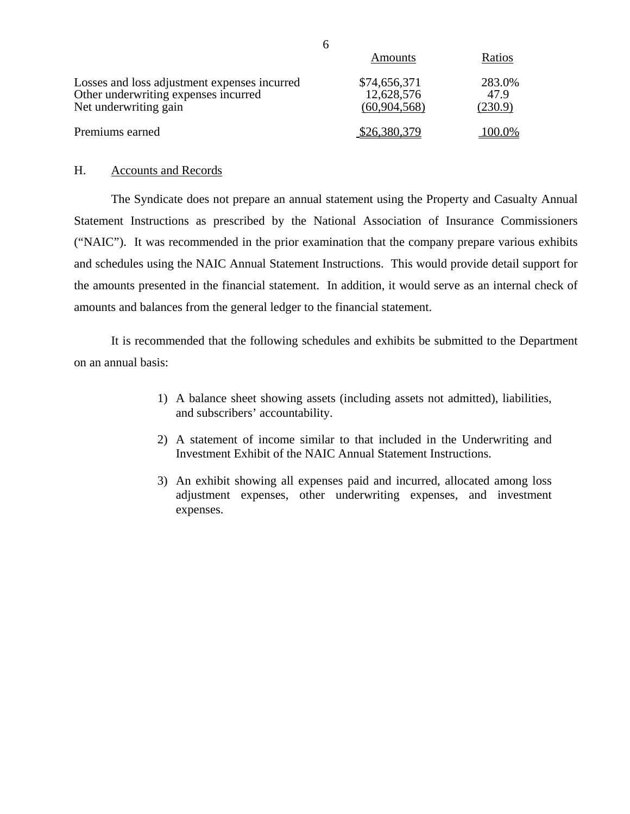|                                                                                                               | Amounts                                    | Ratios                    |
|---------------------------------------------------------------------------------------------------------------|--------------------------------------------|---------------------------|
| Losses and loss adjustment expenses incurred<br>Other underwriting expenses incurred<br>Net underwriting gain | \$74,656,371<br>12,628,576<br>(60,904,568) | 283.0%<br>47.9<br>(230.9) |
| Premiums earned                                                                                               | \$26,380,379                               | 100.0%                    |

## H. Accounts and Records

The Syndicate does not prepare an annual statement using the Property and Casualty Annual Statement Instructions as prescribed by the National Association of Insurance Commissioners ("NAIC"). It was recommended in the prior examination that the company prepare various exhibits and schedules using the NAIC Annual Statement Instructions. This would provide detail support for the amounts presented in the financial statement. In addition, it would serve as an internal check of amounts and balances from the general ledger to the financial statement.

It is recommended that the following schedules and exhibits be submitted to the Department on an annual basis:

- 1) A balance sheet showing assets (including assets not admitted), liabilities, and subscribers' accountability.
- 2) A statement of income similar to that included in the Underwriting and Investment Exhibit of the NAIC Annual Statement Instructions.
- 3) An exhibit showing all expenses paid and incurred, allocated among loss adjustment expenses, other underwriting expenses, and investment expenses.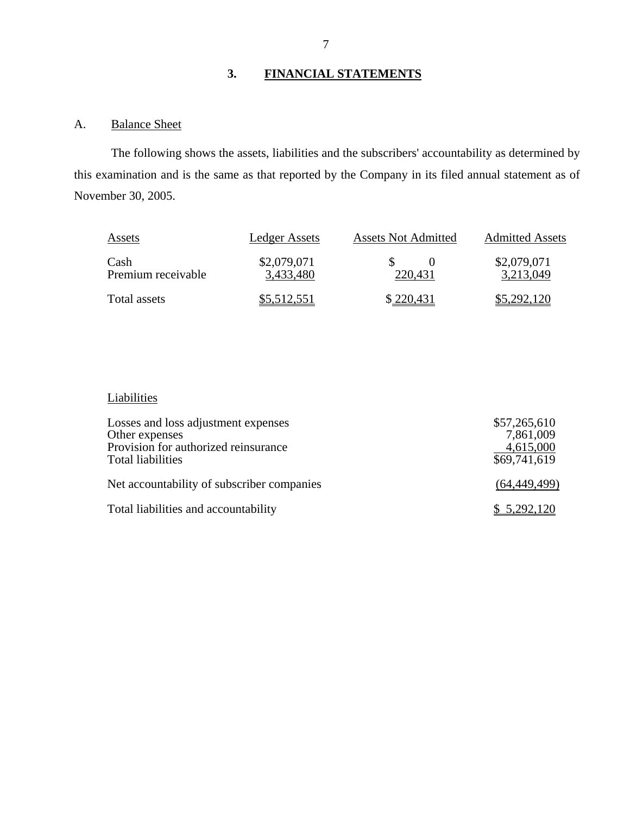# **3. FINANCIAL STATEMENTS**

## A. Balance Sheet

The following shows the assets, liabilities and the subscribers' accountability as determined by this examination and is the same as that reported by the Company in its filed annual statement as of November 30, 2005.

| Assets                     | Ledger Assets            | <b>Assets Not Admitted</b> | <b>Admitted Assets</b>   |
|----------------------------|--------------------------|----------------------------|--------------------------|
| Cash<br>Premium receivable | \$2,079,071<br>3,433,480 | 220.431                    | \$2,079,071<br>3,213,049 |
| Total assets               | \$5,512,551              | \$220,431                  | \$5,292,120              |

#### Liabilities

| Losses and loss adjustment expenses<br>Other expenses<br>Provision for authorized reinsurance<br>Total liabilities | \$57,265,610<br>7,861,009<br>4,615,000<br>\$69,741,619 |
|--------------------------------------------------------------------------------------------------------------------|--------------------------------------------------------|
| Net accountability of subscriber companies                                                                         | (64, 449, 499)                                         |
| Total liabilities and accountability                                                                               | \$5,292,120                                            |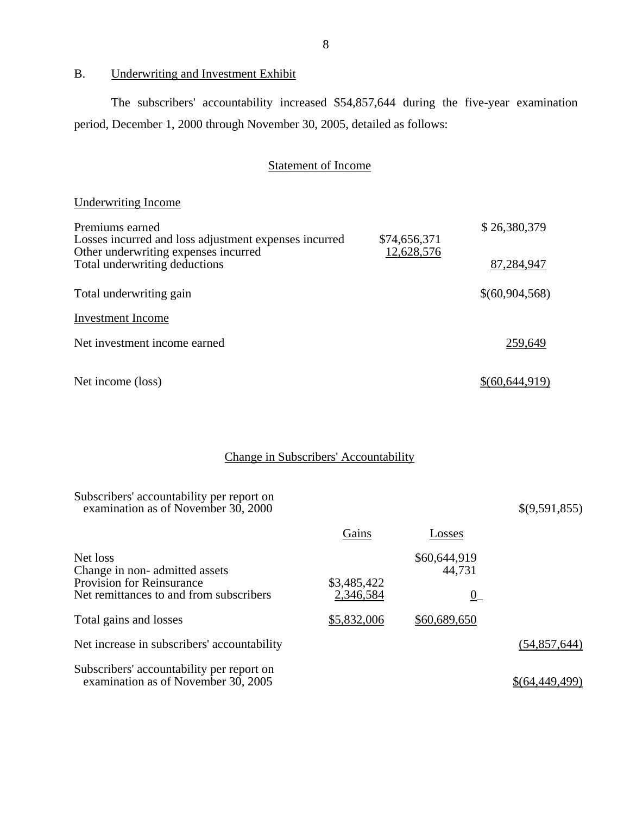B. Underwriting and Investment Exhibit

**Underwriting Income** 

The subscribers' accountability increased \$54,857,644 during the five-year examination period, December 1, 2000 through November 30, 2005, detailed as follows:

## Statement of Income

| Underwriting Income                                                      |              |                |
|--------------------------------------------------------------------------|--------------|----------------|
| Premiums earned<br>Losses incurred and loss adjustment expenses incurred | \$74,656,371 | \$26,380,379   |
| Other underwriting expenses incurred<br>Total underwriting deductions    | 12,628,576   | 87,284,947     |
| Total underwriting gain                                                  |              | \$(60,904,568) |
| <b>Investment Income</b>                                                 |              |                |
| Net investment income earned                                             |              | 259,649        |
| Net income (loss)                                                        |              | \$(60.644.919) |

## Change in Subscribers' Accountability

| Subscribers' accountability per report on<br>examination as of November 30, 2000 |                          |                                 | \$(9,591,855)  |
|----------------------------------------------------------------------------------|--------------------------|---------------------------------|----------------|
|                                                                                  | Gains                    | Losses                          |                |
| Net loss<br>Change in non-admitted assets<br><b>Provision for Reinsurance</b>    | \$3,485,422              | \$60,644,919<br>44,731          |                |
| Net remittances to and from subscribers<br>Total gains and losses                | 2,346,584<br>\$5,832,006 | $\underline{0}$<br>\$60,689,650 |                |
| Net increase in subscribers' accountability                                      |                          |                                 | (54, 857, 644) |
| Subscribers' accountability per report on                                        |                          |                                 |                |
| examination as of November 30, 2005                                              |                          |                                 | \$64,449,499   |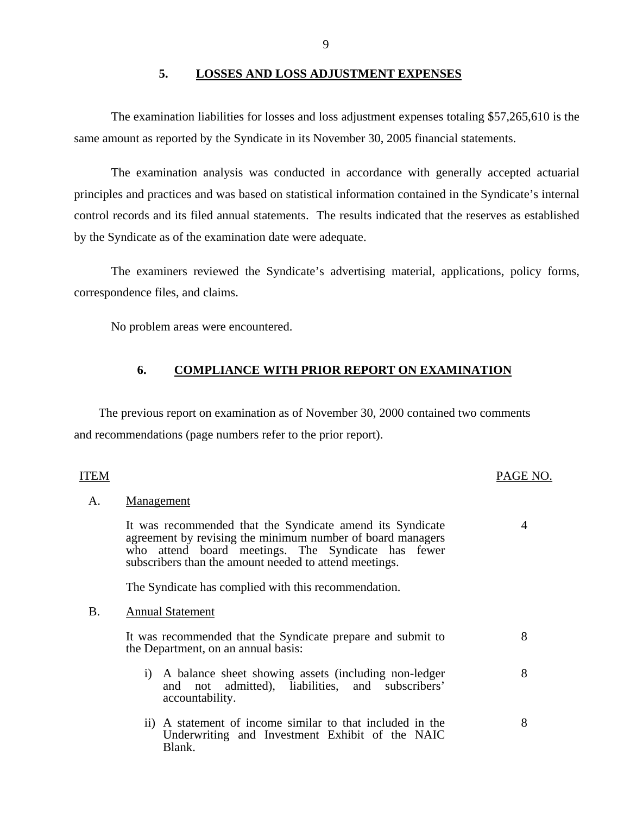## **5. LOSSES AND LOSS ADJUSTMENT EXPENSES**

The examination liabilities for losses and loss adjustment expenses totaling \$57,265,610 is the same amount as reported by the Syndicate in its November 30, 2005 financial statements.

The examination analysis was conducted in accordance with generally accepted actuarial principles and practices and was based on statistical information contained in the Syndicate's internal control records and its filed annual statements. The results indicated that the reserves as established by the Syndicate as of the examination date were adequate.

The examiners reviewed the Syndicate's advertising material, applications, policy forms, correspondence files, and claims.

No problem areas were encountered.

#### **6. COMPLIANCE WITH PRIOR REPORT ON EXAMINATION**

The previous report on examination as of November 30, 2000 contained two comments and recommendations (page numbers refer to the prior report).

# Management ITEM PAGE NO. A. Management<br>It was recommended that the Syndicate amend its Syndicate 4

agreement by revising the minimum number of board managers who attend board meetings. The Syndicate has fewer subscribers than the amount needed to attend meetings.

The Syndicate has complied with this recommendation.

#### B. Annual Statement

It was recommended that the Syndicate prepare and submit to the Department, on an annual basis:

i) A balance sheet showing assets (including non-ledger and not admitted), liabilities, and subscribers' accountability.

8

8

8

ii) A statement of income similar to that included in the Underwriting and Investment Exhibit of the NAIC Blank.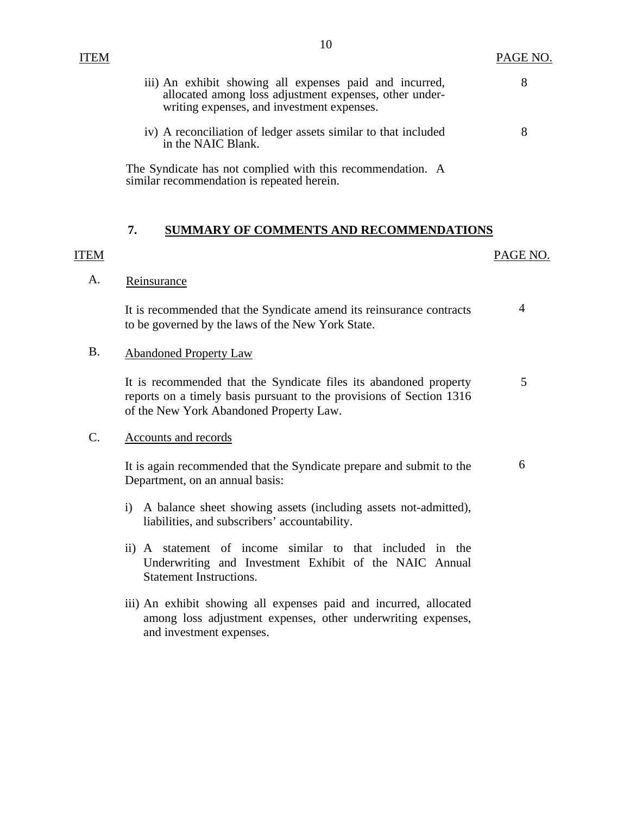<span id="page-11-0"></span>iii) An exhibit showing all expenses paid and incurred,  $8$ allocated among loss adjustment expenses, other underwriting expenses, and investment expenses.

10

iv) A reconciliation of ledger assets similar to that included 8 in the NAIC Blank.

The Syndicate has not complied with this recommendation. A similar recommendation is repeated herein.

## **7. SUMMARY OF COMMENTS AND RECOMMENDATIONS**

## ITEM PAGE NO.

## Reinsurance

A. Reinsurance<br>It is recommended that the Syndicate amend its reinsurance contracts 4 to be governed by the laws of the New York State.

B. Abandoned Property Law

It is recommended that the Syndicate files its abandoned property 5 reports on a timely basis pursuant to the provisions of Section 1316 of the New York Abandoned Property Law.

## Accounts and records

C. Accounts and records<br>It is again recommended that the Syndicate prepare and submit to the 6 Department, on an annual basis:

- i) A balance sheet showing assets (including assets not-admitted), liabilities, and subscribers' accountability.
- ii) A statement of income similar to that included in the Underwriting and Investment Exhibit of the NAIC Annual Statement Instructions.
- iii) An exhibit showing all expenses paid and incurred, allocated among loss adjustment expenses, other underwriting expenses, and investment expenses.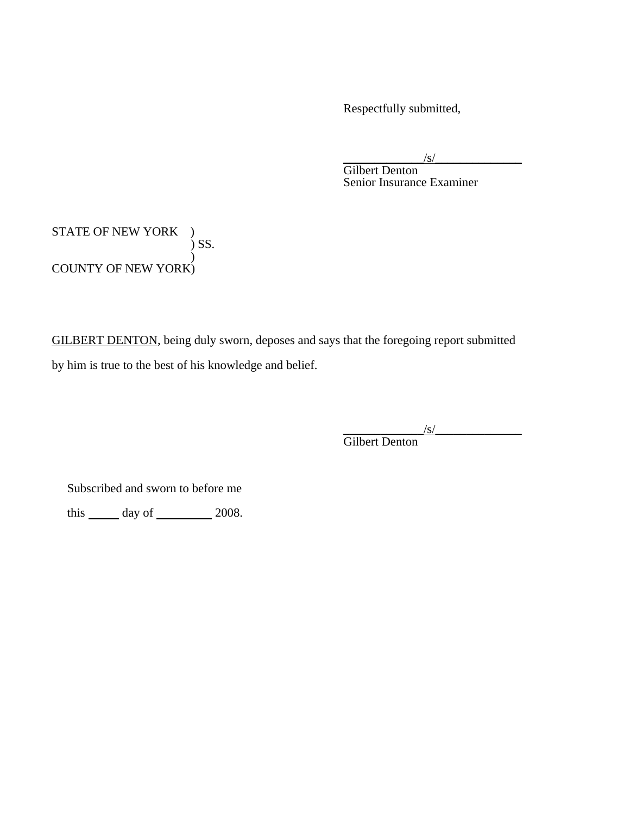Respectfully submitted,

 $\sqrt{s/2}$ 

Gilbert Denton Senior Insurance Examiner

STATE OF NEW YORK ) ) SS.  $\lambda$ COUNTY OF NEW YORK)

GILBERT DENTON, being duly sworn, deposes and says that the foregoing report submitted by him is true to the best of his knowledge and belief.

 $\sqrt{s/2}$ 

Gilbert Denton

Subscribed and sworn to before me

this  $\_\_\_\$  day of  $\_\_\_\_\$  2008.